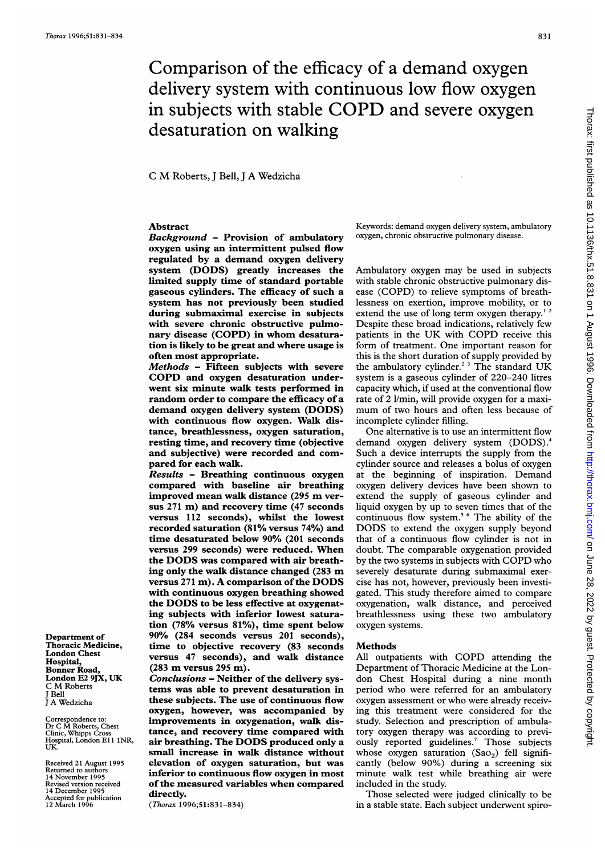Department of Thoracic Medicine, London Chest Hospital, Bonner Road, London E2 9JX, UK C M Roberts J Bell <sup>J</sup> A Wedzicha

Correspondence to: Dr <sup>C</sup> M Roberts, Chest Clinic, Whipps Cross Hospital, London El <sup>1</sup> 1NR, UK. Received 21 August 1995 Returned to authors 14 November 1995 Revised version received 14 December 1995 Accepted for publication 12 March 1996

# Comparison of the efficacy of a demand oxygen delivery system with continuous low flow oxygen in subjects with stable COPD and severe oxygen desaturation on walking

<sup>C</sup> M Roberts, <sup>J</sup> Bell, <sup>J</sup> A Wedzicha

# Abstract

Background - Provision of ambulatory oxygen using an intermittent pulsed flow regulated by a demand oxygen delivery system (DODS) greatly increases the limited supply time of standard portable gaseous cylinders. The efficacy of such a system has not previously been studied during submaximal exercise in subjects with severe chronic obstructive pulmonary disease (COPD) in whom desaturation is likely to be great and where usage is often most appropriate.

Methods - Fifteen subjects with severe COPD and oxygen desaturation underwent six minute walk tests performed in random order to compare the efficacy of a demand oxygen delivery system (DODS) with continuous flow oxygen. Walk distance, breathlessness, oxygen saturation, resting time, and recovery time (objective and subjective) were recorded and compared for each walk.

Results - Breathing continuous oxygen compared with baseline air breathing improved mean walk distance (295 m versus 271 m) and recovery time (47 seconds versus 112 seconds), whilst the lowest recorded saturation (81% versus 74%) and time desaturated below 90% (201 seconds versus 299 seconds) were reduced. When the DODS was compared with air breathing only the walk distance changed (283 m versus  $271 \text{ m}$ ). A comparison of the DODS with continuous oxygen breathing showed the DODS to be less effective at oxygenating subjects with inferior lowest saturation (78% versus 81%), time spent below 90% (284 seconds versus 201 seconds), time to objective recovery (83 seconds versus 47 seconds), and walk distance (283 m versus <sup>295</sup> m).

Conclusions - Neither of the delivery systems was able to prevent desaturation in these subjects. The use of continuous flow oxygen, however, was accompanied by improvements in oxygenation, walk distance, and recovery time compared with air breathing. The DODS produced only <sup>a</sup> small increase in walk distance without elevation of oxygen saturation, but was inferior to continuous flow oxygen in most of the measured variables when compared directly.

(Thorax 1996;51:831-834)

Keywords: demand oxygen delivery system, ambulatory oxygen, chronic obstructive pulmonary disease.

Ambulatory oxygen may be used in subjects with stable chronic obstructive pulmonary disease (COPD) to relieve symptoms of breathlessness on exertion, improve mobility, or to extend the use of long term oxygen therapy.<sup>1</sup> Despite these broad indications, relatively few patients in the UK with COPD receive this form of treatment. One important reason for this is the short duration of supply provided by the ambulatory cylinder.<sup>2 3</sup> The standard UK system is a gaseous cylinder of 220-240 litres capacity which, if used at the conventional flow rate of 2 l/min, will provide oxygen for a maximum of two hours and often less because of incomplete cylinder filling.

One alternative is to use an intermittent flow demand oxygen delivery system (DODS).<sup>4</sup> Such a device interrupts the supply from the cylinder source and releases a bolus of oxygen at the beginning of inspiration. Demand oxygen delivery devices have been shown to extend the supply of gaseous cylinder and liquid oxygen by up to seven times that of the continuous flow system.<sup>5 6</sup> The ability of the DODS to extend the oxygen supply beyond that of a continuous flow cylinder is not in doubt. The comparable oxygenation provided by the two systems in subjects with COPD who severely desaturate during submaximal exercise has not, however, previously been investigated. This study therefore aimed to compare oxygenation, walk distance, and perceived breathlessness using these two ambulatory oxygen systems.

#### Methods

All outpatients with COPD attending the Department of Thoracic Medicine at the London Chest Hospital during a nine month period who were referred for an ambulatory oxygen assessment or who were already receiving this treatment were considered for the study. Selection and prescription of ambulatory oxygen therapy was according to previously reported guidelines.<sup>7</sup> Those subjects whose oxygen saturation  $(Sao_2)$  fell significantly (below 90%) during a screening six minute walk test while breathing air were included in the study.

Those selected were judged clinically to be in a stable state. Each subject underwent spiro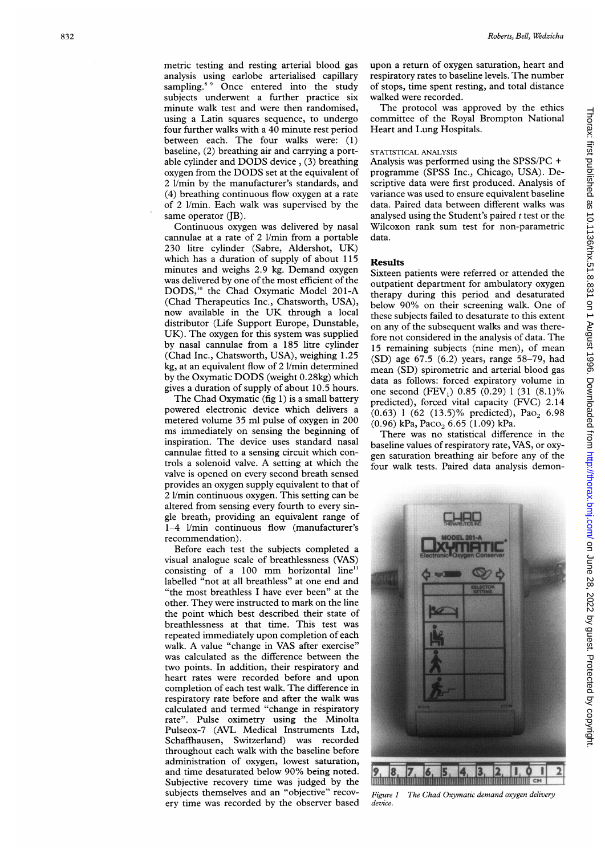metric testing and resting arterial blood gas analysis using earlobe arterialised capillary sampling.<sup>8,9</sup> Once entered into the study subjects underwent a further practice six minute walk test and were then randomised, using a Latin squares sequence, to undergo four further walks with a 40 minute rest period between each. The four walks were: (1) baseline, (2) breathing air and carrying a portable cylinder and DODS device, (3) breathing oxygen from the DODS set at the equivalent of 2 1/min by the manufacturer's standards, and (4) breathing continuous flow oxygen at a rate of 2 1/min. Each walk was supervised by the same operator  $(JB)$ .

Continuous oxygen was delivered by nasal cannulae at a rate of 2 1/min from a portable 230 litre cylinder (Sabre, Aldershot, UK) which has <sup>a</sup> duration of supply of about <sup>115</sup> minutes and weighs 2.9 kg. Demand oxygen was delivered by one of the most efficient of the DODS,"' the Chad Oxymatic Model 201-A (Chad Therapeutics Inc., Chatsworth, USA), now available in the UK through a local distributor (Life Support Europe, Dunstable, UK). The oxygen for this system was supplied by nasal cannulae from a 185 litre cylinder (Chad Inc., Chatsworth, USA), weighing 1.25 kg, at an equivalent flow of 2 1/min determined by the Oxymatic DODS (weight 0.28kg) which gives <sup>a</sup> duration of supply of about 10.5 hours.

The Chad Oxymatic (fig 1) is a small battery powered electronic device which delivers a metered volume 35 ml pulse of oxygen in 200 ms immediately on sensing the beginning of inspiration. The device uses standard nasal cannulae fitted to a sensing circuit which controls <sup>a</sup> solenoid valve. A setting at which the valve is opened on every second breath sensed provides an oxygen supply equivalent to that of 2 1/min continuous oxygen. This setting can be altered from sensing every fourth to every single breath, providing an equivalent range of 1-4 1/min continuous flow (manufacturer's recommendation).

Before each test the subjects completed a visual analogue scale of breathlessness (VAS) consisting of a 100 mm horizontal line $11$ labelled "not at all breathless" at one end and "the most breathless <sup>I</sup> have ever been" at the other. They were instructed to mark on the line the point which best described their state of breathlessness at that time. This test was repeated immediately upon completion of each walk. A value "change in VAS after exercise" was calculated as the difference between the two points. In addition, their respiratory and heart rates were recorded before and upon completion of each test walk. The difference in respiratory rate before and after the walk was calculated and termed "change in respiratory rate". Pulse oximetry using the Minolta Pulseox-7 (AVL Medical Instruments Ltd, Schafihausen, Switzerland) was recorded throughout each walk with the baseline before administration of oxygen, lowest saturation, and time desaturated below 90% being noted. Subjective recovery time was judged by the subjects themselves and an "objective" recovery time was recorded by the observer based

upon a return of oxygen saturation, heart and respiratory rates to baseline levels. The number of stops, time spent resting, and total distance walked were recorded.

The protocol was approved by the ethics committee of the Royal Brompton National Heart and Lung Hospitals.

# STATISTICAL ANALYSIS

Analysis was performed using the SPSS/PC + programme (SPSS Inc., Chicago, USA). Descriptive data were first produced. Analysis of variance was used to ensure equivalent baseline data. Paired data between different walks was analysed using the Student's paired  $t$  test or the Wilcoxon rank sum test for non-parametric data.

## **Results**

Sixteen patients were referred or attended the outpatient department for ambulatory oxygen therapy during this period and desaturated below 90% on their screening walk. One of these subjects failed to desaturate to this extent on any of the subsequent walks and was therefore not considered in the analysis of data. The 15 remaining subjects (nine men), of mean (SD) age 67.5 (6.2) years, range 58-79, had mean (SD) spirometric and arterial blood gas data as follows: forced expiratory volume in one second  $(FEV_1)$  0.85 (0.29) 1 (31 (8.1)% predicted), forced vital capacity (FVC) 2.14  $(0.63)$  1 (62 (13.5)% predicted), Pao<sub>2</sub> 6.98 (0.96) kPa, Paco<sub>2</sub> 6.65 (1.09) kPa.

There was no statistical difference in the baseline values of respiratory rate, VAS, or oxygen saturation breathing air before any of the four walk tests. Paired data analysis demon-



Figure 1 The Chad Oxymatic demand oxygen delivery device.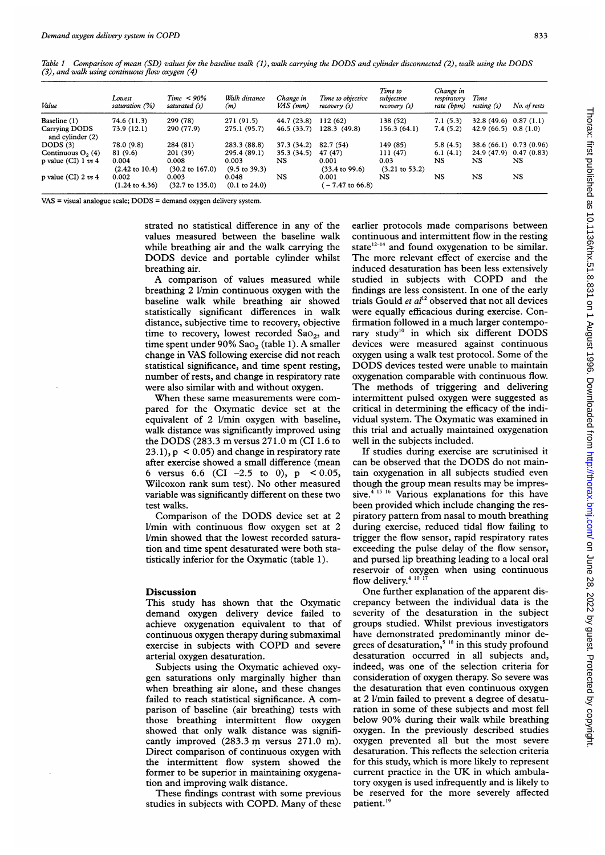Table <sup>1</sup> Comparison of mean (SD) values for the baseline walk (1), walk carrying the DODS and cylinder disconnected (2), walk using the DODS (3), and walk using continuous flow oxygen (4)

| Value                             | Lowest<br>saturation (%)           | $Time < 90\%$<br>saturated (s)      | Walk distance<br>(m)              | Change in<br>VAS (mm) | Time to objective<br>recovery (s)  | Time to<br>subjective<br>recovery (s) | Change in<br>respiratory<br>rate (bpm) | Time<br>resting (s)       | No. of rests |
|-----------------------------------|------------------------------------|-------------------------------------|-----------------------------------|-----------------------|------------------------------------|---------------------------------------|----------------------------------------|---------------------------|--------------|
| Baseline (1)                      | 74.6 (11.3)                        | 299 (78)                            | 271 (91.5)                        | 44.7 (23.8)           | 112(62)                            | 138 (52)                              | 7.1(5.3)                               | $32.8(49.6)$ 0.87 (1.1)   |              |
| Carrying DODS<br>and cylinder (2) | 73.9 (12.1)                        | 290 (77.9)                          | 275.1 (95.7)                      | 46.5(33.7)            | 128.3(49.8)                        | 156.3(64.1)                           | 7.4(5.2)                               | 42.9 $(66.5)$ 0.8 $(1.0)$ |              |
| DODS $(3)$                        | 78.0 (9.8)                         | 284 (81)                            | 283.3 (88.8)                      | 37.3 (34.2)           | 82.7 (54)                          | 149 (85)                              | 5.8(4.5)                               | 38.6 (66.1)               | 0.73(0.96)   |
| Continuous $O2(4)$                | 81 (9.6)                           | 201 (39)                            | 295.4 (89.1)                      | 35.3(34.5)            | 47 (47)                            | 111(47)                               | 6.1(4.1)                               | 24.9 (47.9)               | 0.47(0.83)   |
| p value (CI) $1 vs 4$             | 0.004<br>$(2.42 \text{ to } 10.4)$ | 0.008<br>$(30.2 \text{ to } 167.0)$ | 0.003<br>$(9.5 \text{ to } 39.3)$ | NS                    | 0.001<br>$(33.4 \text{ to } 99.6)$ | 0.03<br>$(3.21 \text{ to } 53.2)$     | <b>NS</b>                              | NS                        | <b>NS</b>    |
| p value (CI) $2 \, vs \, 4$       | 0.002<br>$(1.24 \text{ to } 4.36)$ | 0.003<br>$(32.7 \text{ to } 135.0)$ | 0.048<br>$(0.1 \text{ to } 24.0)$ | NS                    | 0.001<br>$-7.47$ to 66.8)          | NS                                    | NS                                     | NS                        | NS           |

VAS = visual analogue scale; DODS = demand oxygen delivery system.

strated no statistical difference in any of the values measured between the baseline walk while breathing air and the walk carrying the DODS device and portable cylinder whilst breathing air.

A comparison of values measured while breathing 2 1/min continuous oxygen with the baseline walk while breathing air showed statistically significant differences in walk distance, subjective time to recovery, objective time to recovery, lowest recorded  $Sao_2$ , and time spent under  $90\%$  Sao<sub>2</sub> (table 1). A smaller change in VAS following exercise did not reach statistical significance, and time spent resting, number of rests, and change in respiratory rate were also similar with and without oxygen.

When these same measurements were compared for the Oxymatic device set at the equivalent of 2 1/min oxygen with baseline, walk distance was significantly improved using the DODS (283.3 m versus 271.0 m (CI 1.6 to  $23.1$ ,  $p < 0.05$ ) and change in respiratory rate after exercise showed a small difference (mean 6 versus 6.6 (CI  $-2.5$  to 0),  $p < 0.05$ , Wilcoxon rank sum test). No other measured variable was significantly different on these two test walks.

Comparison of the DODS device set at <sup>2</sup> 1/min with continuous flow oxygen set at 2 1/min showed that the lowest recorded saturation and time spent desaturated were both statistically inferior for the Oxymatic (table 1).

## Discussion

This study has shown that the Oxymatic demand oxygen delivery device failed to achieve oxygenation equivalent to that of continuous oxygen therapy during submaximal exercise in subjects with COPD and severe arterial oxygen desaturation.

Subjects using the Oxymatic achieved oxygen saturations only marginally higher than when breathing air alone, and these changes failed to reach statistical significance. A comparison of baseline (air breathing) tests with those breathing intermittent flow oxygen showed that only walk distance was significantly improved (283.3 m versus 271.0 m). Direct comparison of continuous oxygen with the intermittent flow system showed the former to be superior in maintaining oxygenation and improving walk distance.

These findings contrast with some previous studies in subjects with COPD. Many of these

earlier protocols made comparisons between continuous and intermittent flow in the resting state $12-14$  and found oxygenation to be similar. The more relevant effect of exercise and the induced desaturation has been less extensively studied in subjects with COPD and the findings are less consistent. In one of the early trials Gould et  $al<sup>12</sup>$  observed that not all devices were equally efficacious during exercise. Confirmation followed in <sup>a</sup> much larger contemporary study<sup>10</sup> in which six different DODS devices were measured against continuous oxygen using <sup>a</sup> walk test protocol. Some of the DODS devices tested were unable to maintain oxygenation comparable with continuous flow. The methods of triggering and delivering intermittent pulsed oxygen were suggested as critical in determining the efficacy of the individual system. The Oxymatic was examined in this trial and actually maintained oxygenation well in the subjects included.

If studies during exercise are scrutinised it can be observed that the DODS do not maintain oxygenation in all subjects studied even though the group mean results may be impressive.<sup>4 15 16</sup> Various explanations for this have been provided which include changing the respiratory pattern from nasal to mouth breathing during exercise, reduced tidal flow failing to trigger the flow sensor, rapid respiratory rates exceeding the pulse delay of the flow sensor, and pursed lip breathing leading to a local oral reservoir of oxygen when using continuous flow delivery.<sup>4 10</sup> <sup>17</sup>

One further explanation of the apparent discrepancy between the individual data is the severity of the desaturation in the subject groups studied. Whilst previous investigators have demonstrated predominantly minor degrees of desaturation,<sup>5 18</sup> in this study profound desaturation occurred in all subjects and, indeed, was one of the selection criteria for consideration of oxygen therapy. So severe was the desaturation that even continuous oxygen at 2 1/min failed to prevent a degree of desaturation in some of these subjects and most fell below 90% during their walk while breathing oxygen. In the previously described studies oxygen prevented all but the most severe desaturation. This reflects the selection criteria for this study, which is more likely to represent current practice in the UK in which ambulatory oxygen is used infrequently and is likely to be reserved for the more severely affected patient.<sup>19</sup>